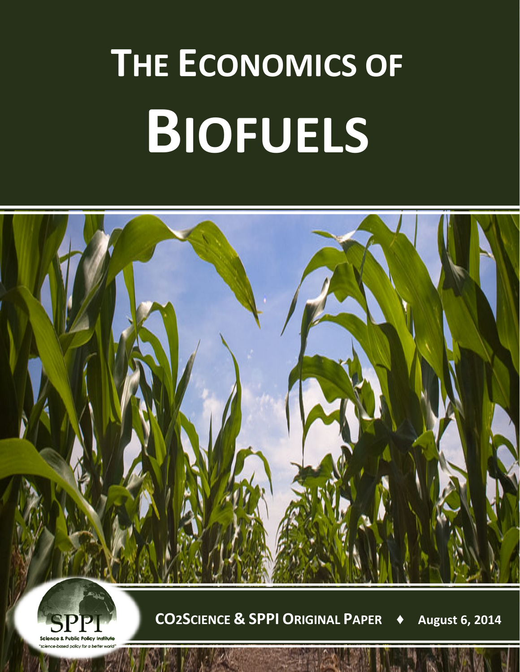## **THE ECONOMICS OF BIOFUELS**



**CO2SCIENCE & SPPI ORIGINAL PAPER ♦ August 6, 2014**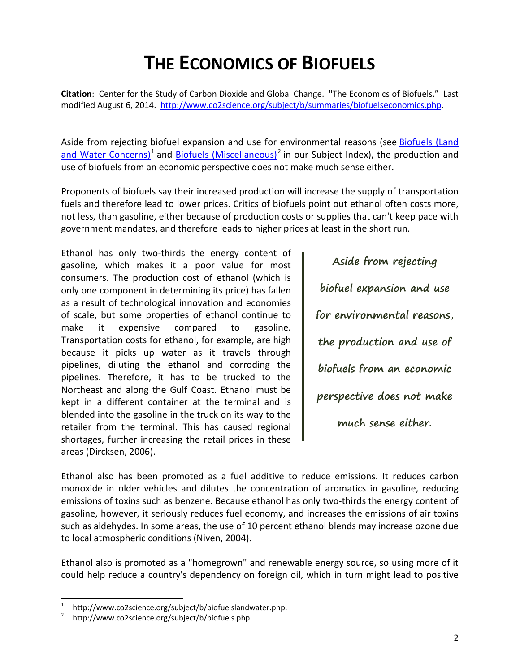## **THE ECONOMICS OF BIOFUELS**

**Citation**: Center for the Study of Carbon Dioxide and Global Change. "The Economics of Biofuels." Last modified August 6, 2014. [http://www.co2science.org/subject/b/summaries/biofuelseconomics.php.](http://www.co2science.org/subject/b/summaries/biofuelseconomics.php)

Aside from rejecting biofuel expansion and use for environmental reasons (see [Biofuels \(Land](http://www.co2science.org/subject/b/biofuelslandwater.php)  [and Water Concerns\)](http://www.co2science.org/subject/b/biofuelslandwater.php)<sup>[1](#page-1-0)</sup> and **[Biofuels \(Miscellaneous\)](http://www.co2science.org/subject/b/biofuels.php)**<sup>[2](#page-1-1)</sup> in our Subject Index), the production and use of biofuels from an economic perspective does not make much sense either.

Proponents of biofuels say their increased production will increase the supply of transportation fuels and therefore lead to lower prices. Critics of biofuels point out ethanol often costs more, not less, than gasoline, either because of production costs or supplies that can't keep pace with government mandates, and therefore leads to higher prices at least in the short run.

Ethanol has only two-thirds the energy content of gasoline, which makes it a poor value for most consumers. The production cost of ethanol (which is only one component in determining its price) has fallen as a result of technological innovation and economies of scale, but some properties of ethanol continue to make it expensive compared to gasoline. Transportation costs for ethanol, for example, are high because it picks up water as it travels through pipelines, diluting the ethanol and corroding the pipelines. Therefore, it has to be trucked to the Northeast and along the Gulf Coast. Ethanol must be kept in a different container at the terminal and is blended into the gasoline in the truck on its way to the retailer from the terminal. This has caused regional shortages, further increasing the retail prices in these areas (Dircksen, 2006).

**Aside from rejecting biofuel expansion and use for environmental reasons, the production and use of biofuels from an economic perspective does not make much sense either.**

Ethanol also has been promoted as a fuel additive to reduce emissions. It reduces carbon monoxide in older vehicles and dilutes the concentration of aromatics in gasoline, reducing emissions of toxins such as benzene. Because ethanol has only two-thirds the energy content of gasoline, however, it seriously reduces fuel economy, and increases the emissions of air toxins such as aldehydes. In some areas, the use of 10 percent ethanol blends may increase ozone due to local atmospheric conditions (Niven, 2004).

Ethanol also is promoted as a "homegrown" and renewable energy source, so using more of it could help reduce a country's dependency on foreign oil, which in turn might lead to positive

<span id="page-1-0"></span>http://www.co2science.org/subject/b/biofuelslandwater.php.<br>http://www.co2science.org/subject/b/biofuels.php.

<span id="page-1-1"></span>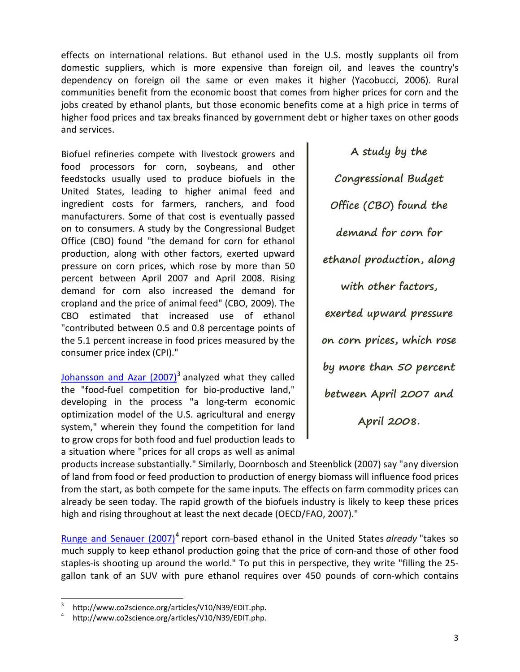effects on international relations. But ethanol used in the U.S. mostly supplants oil from domestic suppliers, which is more expensive than foreign oil, and leaves the country's dependency on foreign oil the same or even makes it higher (Yacobucci, 2006). Rural communities benefit from the economic boost that comes from higher prices for corn and the jobs created by ethanol plants, but those economic benefits come at a high price in terms of higher food prices and tax breaks financed by government debt or higher taxes on other goods and services.

Biofuel refineries compete with livestock growers and food processors for corn, soybeans, and other feedstocks usually used to produce biofuels in the United States, leading to higher animal feed and ingredient costs for farmers, ranchers, and food manufacturers. Some of that cost is eventually passed on to consumers. A study by the Congressional Budget Office (CBO) found "the demand for corn for ethanol production, along with other factors, exerted upward pressure on corn prices, which rose by more than 50 percent between April 2007 and April 2008. Rising demand for corn also increased the demand for cropland and the price of animal feed" (CBO, 2009). The CBO estimated that increased use of ethanol "contributed between 0.5 and 0.8 percentage points of the 5.1 percent increase in food prices measured by the consumer price index (CPI)."

Johansson and Azar  $(2007)^3$  $(2007)^3$  analyzed what they called the "food-fuel competition for bio-productive land," developing in the process "a long-term economic optimization model of the U.S. agricultural and energy system," wherein they found the competition for land to grow crops for both food and fuel production leads to a situation where "prices for all crops as well as animal

**A study by the Congressional Budget Office (CBO) found the demand for corn for ethanol production, along with other factors, exerted upward pressure on corn prices, which rose by more than 50 percent between April 2007 and April 2008.**

products increase substantially." Similarly, Doornbosch and Steenblick (2007) say "any diversion of land from food or feed production to production of energy biomass will influence food prices from the start, as both compete for the same inputs. The effects on farm commodity prices can already be seen today. The rapid growth of the biofuels industry is likely to keep these prices high and rising throughout at least the next decade (OECD/FAO, 2007)."

[Runge and Senauer \(2007\)](http://www.co2science.org/articles/V10/N39/EDIT.php)<sup>[4](#page-2-1)</sup> report corn-based ethanol in the United States *already* "takes so much supply to keep ethanol production going that the price of corn-and those of other food staples-is shooting up around the world." To put this in perspective, they write "filling the 25 gallon tank of an SUV with pure ethanol requires over 450 pounds of corn-which contains

<span id="page-2-1"></span><span id="page-2-0"></span>http://www.co2science.org/articles/V10/N39/EDIT.php.<br>http://www.co2science.org/articles/V10/N39/EDIT.php.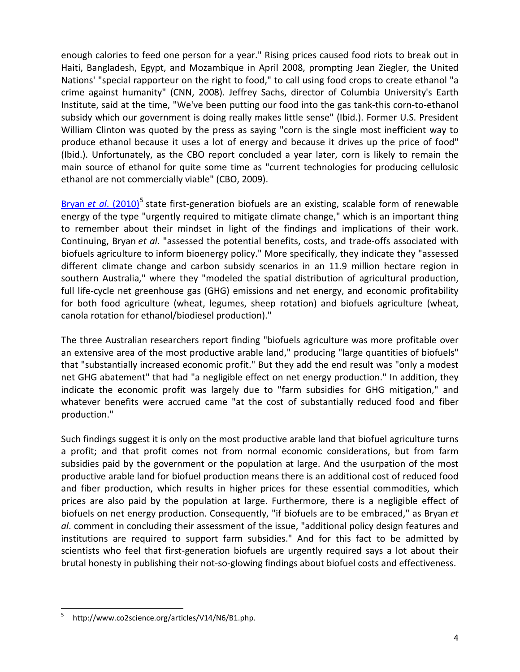enough calories to feed one person for a year." Rising prices caused food riots to break out in Haiti, Bangladesh, Egypt, and Mozambique in April 2008, prompting Jean Ziegler, the United Nations' "special rapporteur on the right to food," to call using food crops to create ethanol "a crime against humanity" (CNN, 2008). Jeffrey Sachs, director of Columbia University's Earth Institute, said at the time, "We've been putting our food into the gas tank-this corn-to-ethanol subsidy which our government is doing really makes little sense" (Ibid.). Former U.S. President William Clinton was quoted by the press as saying "corn is the single most inefficient way to produce ethanol because it uses a lot of energy and because it drives up the price of food" (Ibid.). Unfortunately, as the CBO report concluded a year later, corn is likely to remain the main source of ethanol for quite some time as "current technologies for producing cellulosic ethanol are not commercially viable" (CBO, 2009).

Bryan *et al.* (2010)<sup>[5](#page-3-0)</sup> state first-generation biofuels are an existing, scalable form of renewable energy of the type "urgently required to mitigate climate change," which is an important thing to remember about their mindset in light of the findings and implications of their work. Continuing, Bryan *et al*. "assessed the potential benefits, costs, and trade-offs associated with biofuels agriculture to inform bioenergy policy." More specifically, they indicate they "assessed different climate change and carbon subsidy scenarios in an 11.9 million hectare region in southern Australia," where they "modeled the spatial distribution of agricultural production, full life-cycle net greenhouse gas (GHG) emissions and net energy, and economic profitability for both food agriculture (wheat, legumes, sheep rotation) and biofuels agriculture (wheat, canola rotation for ethanol/biodiesel production)."

The three Australian researchers report finding "biofuels agriculture was more profitable over an extensive area of the most productive arable land," producing "large quantities of biofuels" that "substantially increased economic profit." But they add the end result was "only a modest net GHG abatement" that had "a negligible effect on net energy production." In addition, they indicate the economic profit was largely due to "farm subsidies for GHG mitigation," and whatever benefits were accrued came "at the cost of substantially reduced food and fiber production."

Such findings suggest it is only on the most productive arable land that biofuel agriculture turns a profit; and that profit comes not from normal economic considerations, but from farm subsidies paid by the government or the population at large. And the usurpation of the most productive arable land for biofuel production means there is an additional cost of reduced food and fiber production, which results in higher prices for these essential commodities, which prices are also paid by the population at large. Furthermore, there is a negligible effect of biofuels on net energy production. Consequently, "if biofuels are to be embraced," as Bryan *et al*. comment in concluding their assessment of the issue, "additional policy design features and institutions are required to support farm subsidies." And for this fact to be admitted by scientists who feel that first-generation biofuels are urgently required says a lot about their brutal honesty in publishing their not-so-glowing findings about biofuel costs and effectiveness.

<span id="page-3-0"></span> <sup>5</sup> http://www.co2science.org/articles/V14/N6/B1.php.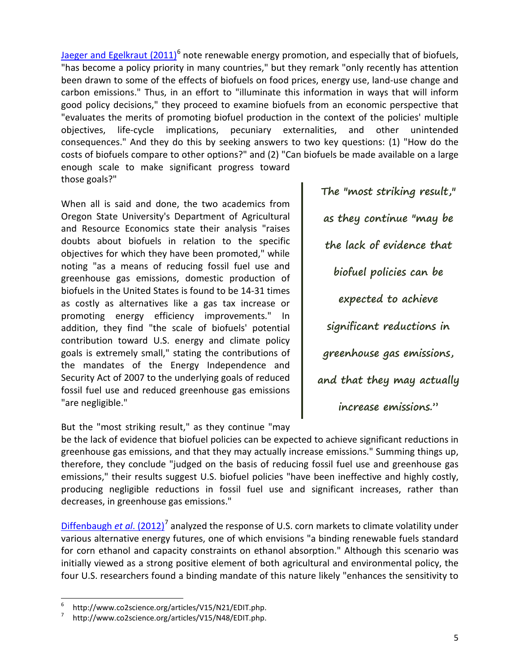[Jaeger and Egelkraut \(2011\)](http://www.co2science.org/articles/V15/N21/EDIT.php)<sup>[6](#page-4-0)</sup> note renewable energy promotion, and especially that of biofuels, "has become a policy priority in many countries," but they remark "only recently has attention been drawn to some of the effects of biofuels on food prices, energy use, land-use change and carbon emissions." Thus, in an effort to "illuminate this information in ways that will inform good policy decisions," they proceed to examine biofuels from an economic perspective that "evaluates the merits of promoting biofuel production in the context of the policies' multiple objectives, life-cycle implications, pecuniary externalities, and other unintended consequences." And they do this by seeking answers to two key questions: (1) "How do the costs of biofuels compare to other options?" and (2) "Can biofuels be made available on a large enough scale to make significant progress toward those goals?"

When all is said and done, the two academics from Oregon State University's Department of Agricultural and Resource Economics state their analysis "raises doubts about biofuels in relation to the specific objectives for which they have been promoted," while noting "as a means of reducing fossil fuel use and greenhouse gas emissions, domestic production of biofuels in the United States is found to be 14-31 times as costly as alternatives like a gas tax increase or promoting energy efficiency improvements." In addition, they find "the scale of biofuels' potential contribution toward U.S. energy and climate policy goals is extremely small," stating the contributions of the mandates of the Energy Independence and Security Act of 2007 to the underlying goals of reduced fossil fuel use and reduced greenhouse gas emissions "are negligible."

**The "most striking result," as they continue "may be the lack of evidence that biofuel policies can be expected to achieve significant reductions in greenhouse gas emissions, and that they may actually increase emissions."**

But the "most striking result," as they continue "may

be the lack of evidence that biofuel policies can be expected to achieve significant reductions in greenhouse gas emissions, and that they may actually increase emissions." Summing things up, therefore, they conclude "judged on the basis of reducing fossil fuel use and greenhouse gas emissions," their results suggest U.S. biofuel policies "have been ineffective and highly costly, producing negligible reductions in fossil fuel use and significant increases, rather than decreases, in greenhouse gas emissions."

[Diffenbaugh](http://www.co2science.org/articles/V15/N48/EDIT.php) *et al.* (2012)<sup>[7](#page-4-1)</sup> analyzed the response of U.S. corn markets to climate volatility under various alternative energy futures, one of which envisions "a binding renewable fuels standard for corn ethanol and capacity constraints on ethanol absorption." Although this scenario was initially viewed as a strong positive element of both agricultural and environmental policy, the four U.S. researchers found a binding mandate of this nature likely "enhances the sensitivity to

<span id="page-4-0"></span>http://www.co2science.org/articles/V15/N21/EDIT.php.<br>http://www.co2science.org/articles/V15/N48/EDIT.php.

<span id="page-4-1"></span>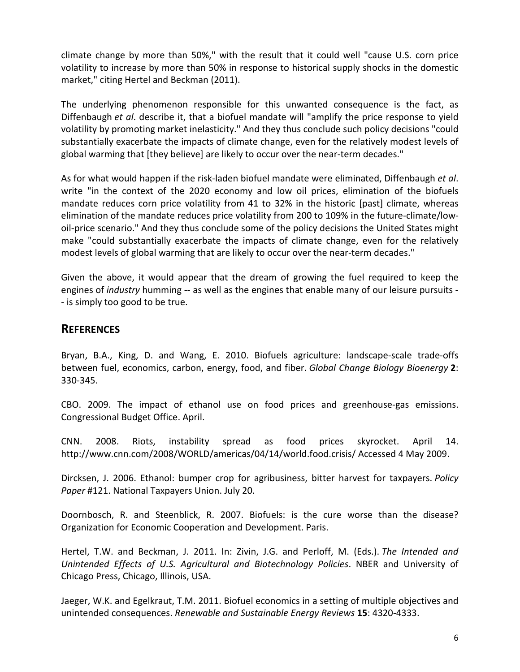climate change by more than 50%," with the result that it could well "cause U.S. corn price volatility to increase by more than 50% in response to historical supply shocks in the domestic market," citing Hertel and Beckman (2011).

The underlying phenomenon responsible for this unwanted consequence is the fact, as Diffenbaugh *et al*. describe it, that a biofuel mandate will "amplify the price response to yield volatility by promoting market inelasticity." And they thus conclude such policy decisions "could substantially exacerbate the impacts of climate change, even for the relatively modest levels of global warming that [they believe] are likely to occur over the near-term decades."

As for what would happen if the risk-laden biofuel mandate were eliminated, Diffenbaugh *et al*. write "in the context of the 2020 economy and low oil prices, elimination of the biofuels mandate reduces corn price volatility from 41 to 32% in the historic [past] climate, whereas elimination of the mandate reduces price volatility from 200 to 109% in the future-climate/lowoil-price scenario." And they thus conclude some of the policy decisions the United States might make "could substantially exacerbate the impacts of climate change, even for the relatively modest levels of global warming that are likely to occur over the near-term decades."

Given the above, it would appear that the dream of growing the fuel required to keep the engines of *industry* humming -- as well as the engines that enable many of our leisure pursuits - - is simply too good to be true.

## **REFERENCES**

Bryan, B.A., King, D. and Wang, E. 2010. Biofuels agriculture: landscape-scale trade-offs between fuel, economics, carbon, energy, food, and fiber. *Global Change Biology Bioenergy* **2**: 330-345.

CBO. 2009. The impact of ethanol use on food prices and greenhouse-gas emissions. Congressional Budget Office. April.

CNN. 2008. Riots, instability spread as food prices skyrocket. April 14. http://www.cnn.com/2008/WORLD/americas/04/14/world.food.crisis/ Accessed 4 May 2009.

Dircksen, J. 2006. Ethanol: bumper crop for agribusiness, bitter harvest for taxpayers. *Policy Paper* #121. National Taxpayers Union. July 20.

Doornbosch, R. and Steenblick, R. 2007. Biofuels: is the cure worse than the disease? Organization for Economic Cooperation and Development. Paris.

Hertel, T.W. and Beckman, J. 2011. In: Zivin, J.G. and Perloff, M. (Eds.). *The Intended and Unintended Effects of U.S. Agricultural and Biotechnology Policies*. NBER and University of Chicago Press, Chicago, Illinois, USA.

Jaeger, W.K. and Egelkraut, T.M. 2011. Biofuel economics in a setting of multiple objectives and unintended consequences. *Renewable and Sustainable Energy Reviews* **15**: 4320-4333.